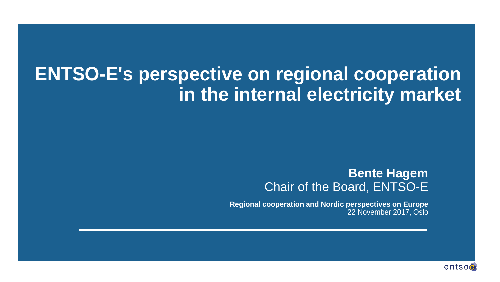### **ENTSO-E's perspective on regional cooperation in the internal electricity market**

#### **Bente Hagem** Chair of the Board, ENTSO-E

**Regional cooperation and Nordic perspectives on Europe** 22 November 2017, Oslo

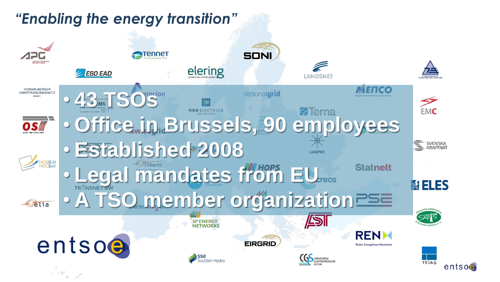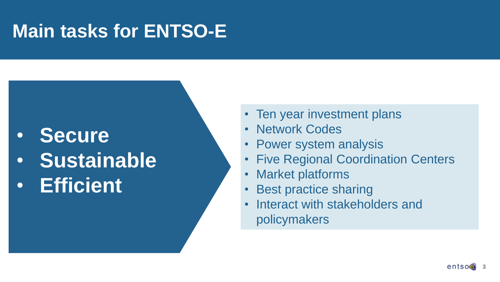## **Main tasks for ENTSO-E**

### • **Secure**

- **Sustainable**
- **Efficient**
- Ten year investment plans
- **Network Codes**
- Power system analysis
- Five Regional Coordination Centers
- Market platforms
- Best practice sharing
- Interact with stakeholders and policymakers

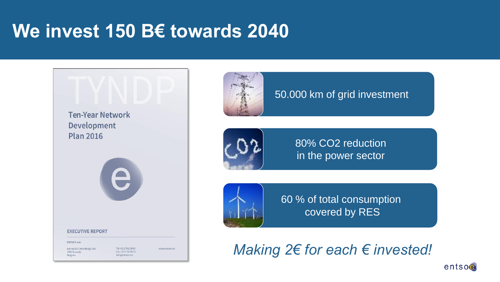### **We invest 150 B€ towards 2040**





#### 50.000 km of grid investment



80% CO2 reduction in the power sector



60 % of total consumption covered by RES

*Making 2€ for each € invested!*

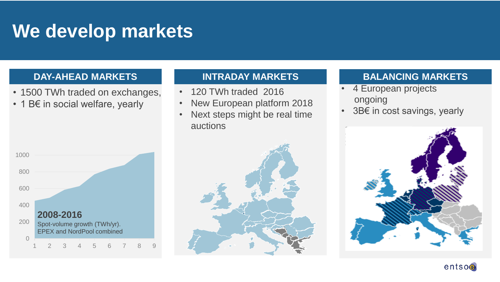### **We develop markets**

#### **DAY-AHEAD MARKETS BALANCING MARKETS INTRADAY MARKETS**

- 1500 TWh traded on exchanges,
- 1 B€ in social welfare, yearly

- 120 TWh traded 2016
- New European platform 2018
- Next steps might be real time auctions

- 4 European projects ongoing
- 3B€ in cost savings, yearly







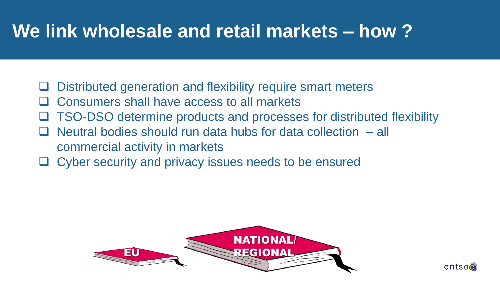## **We link wholesale and retail markets – how ?**

- Distributed generation and flexibility require smart meters
- Consumers shall have access to all markets
- □ TSO-DSO determine products and processes for distributed flexibility
- commercial activity in markets Neutral bodies should run data hubs for data collection – all
	- Cyber security and privacy issues needs to be ensured



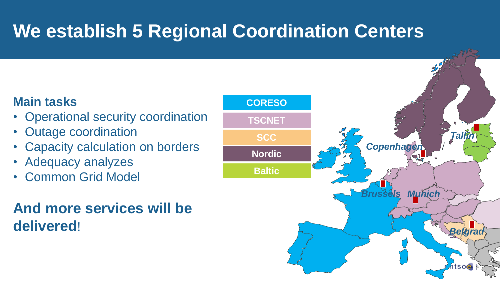# **We establish 5 Regional Coordination Centers**

### **Main tasks**

- Operational security coordination
- Outage coordination
- Capacity calculation on borders
- Adequacy analyzes
- Common Grid Model

### **And more services will be delivered**!

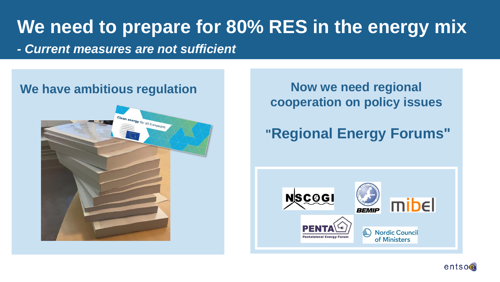# **We need to prepare for 80% RES in the energy mix**

*- Current measures are not sufficient*

#### We have ambitious regulation **Now we need regional**



**cooperation on policy issues**

### **"Regional Energy Forums"**



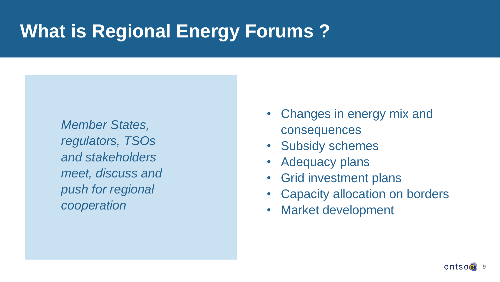# **What is Regional Energy Forums ?**

*Member States, regulators, TSOs and stakeholders meet, discuss and push for regional cooperation* 

- Changes in energy mix and consequences
- Subsidy schemes
- Adequacy plans
- Grid investment plans
- Capacity allocation on borders
- Market development

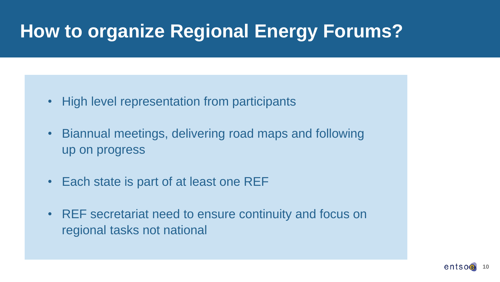## **How to organize Regional Energy Forums?**

- High level representation from participants
- Biannual meetings, delivering road maps and following up on progress
- Each state is part of at least one REF
- REF secretariat need to ensure continuity and focus on regional tasks not national

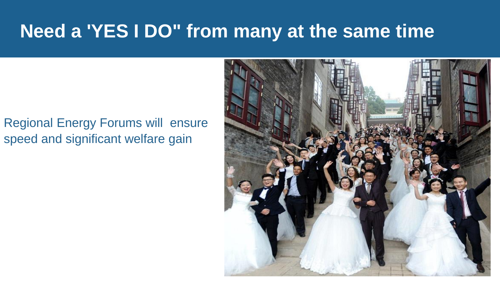### **Need a 'YES I DO" from many at the same time**

### Regional Energy Forums will ensure speed and significant welfare gain